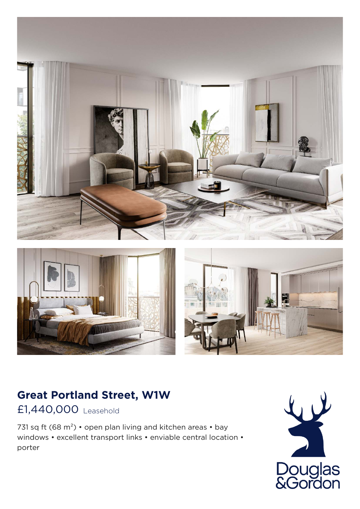





## **Great Portland Street, W1W**

£1,440,000 Leasehold

731 sq ft (68 m<sup>2</sup>) • open plan living and kitchen areas • bay windows • excellent transport links • enviable central location • porter